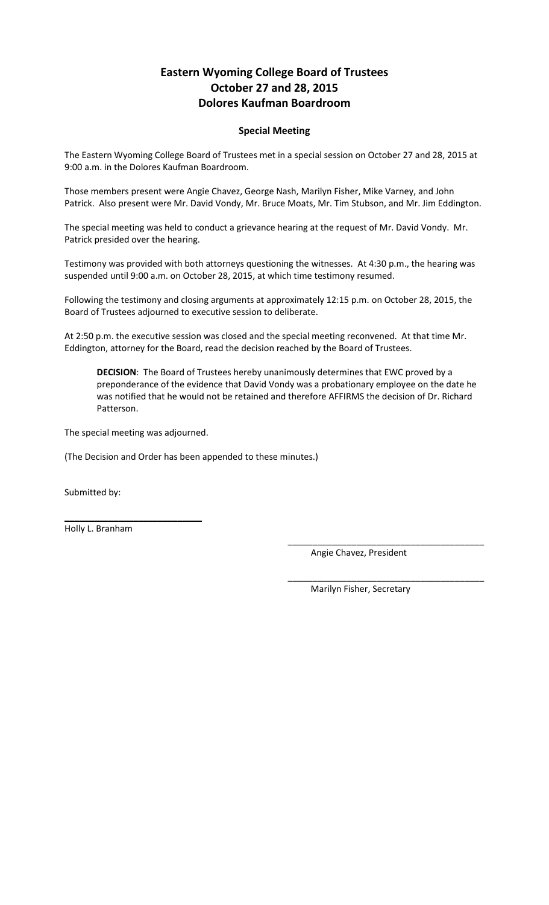# **Eastern Wyoming College Board of Trustees October 27 and 28, 2015 Dolores Kaufman Boardroom**

## **Special Meeting**

The Eastern Wyoming College Board of Trustees met in a special session on October 27 and 28, 2015 at 9:00 a.m. in the Dolores Kaufman Boardroom.

Those members present were Angie Chavez, George Nash, Marilyn Fisher, Mike Varney, and John Patrick. Also present were Mr. David Vondy, Mr. Bruce Moats, Mr. Tim Stubson, and Mr. Jim Eddington.

The special meeting was held to conduct a grievance hearing at the request of Mr. David Vondy. Mr. Patrick presided over the hearing.

Testimony was provided with both attorneys questioning the witnesses. At 4:30 p.m., the hearing was suspended until 9:00 a.m. on October 28, 2015, at which time testimony resumed.

Following the testimony and closing arguments at approximately 12:15 p.m. on October 28, 2015, the Board of Trustees adjourned to executive session to deliberate.

At 2:50 p.m. the executive session was closed and the special meeting reconvened. At that time Mr. Eddington, attorney for the Board, read the decision reached by the Board of Trustees.

**DECISION**: The Board of Trustees hereby unanimously determines that EWC proved by a preponderance of the evidence that David Vondy was a probationary employee on the date he was notified that he would not be retained and therefore AFFIRMS the decision of Dr. Richard Patterson.

The special meeting was adjourned.

 $\_$ 

(The Decision and Order has been appended to these minutes.)

Submitted by:

Holly L. Branham

Angie Chavez, President

\_\_\_\_\_\_\_\_\_\_\_\_\_\_\_\_\_\_\_\_\_\_\_\_\_\_\_\_\_\_\_\_\_\_\_\_\_\_\_\_

\_\_\_\_\_\_\_\_\_\_\_\_\_\_\_\_\_\_\_\_\_\_\_\_\_\_\_\_\_\_\_\_\_\_\_\_\_\_\_\_

Marilyn Fisher, Secretary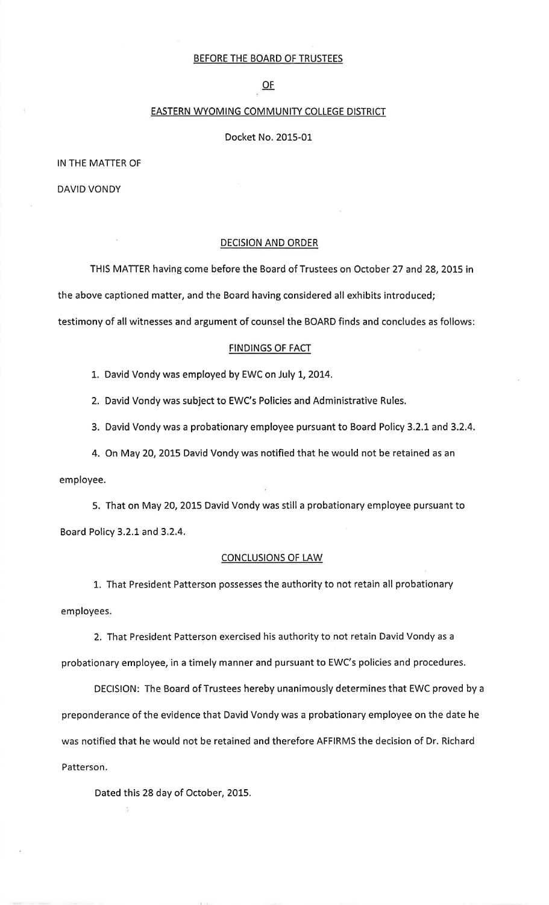#### BEFORE THE BOARD OF TRUSTEES

 $OF$ </u>

## **EASTERN WYOMING COMMUNITY COLLEGE DISTRICT**

Docket No. 2015-01

IN THE MATTER OF

**DAVID VONDY** 

### **DECISION AND ORDER**

THIS MATTER having come before the Board of Trustees on October 27 and 28, 2015 in the above captioned matter, and the Board having considered all exhibits introduced; testimony of all witnesses and argument of counsel the BOARD finds and concludes as follows:

#### **FINDINGS OF FACT**

1. David Vondy was employed by EWC on July 1, 2014.

2. David Vondy was subject to EWC's Policies and Administrative Rules.

3. David Vondy was a probationary employee pursuant to Board Policy 3.2.1 and 3.2.4.

4. On May 20, 2015 David Vondy was notified that he would not be retained as an employee.

5. That on May 20, 2015 David Vondy was still a probationary employee pursuant to Board Policy 3.2.1 and 3.2.4.

#### **CONCLUSIONS OF LAW**

1. That President Patterson possesses the authority to not retain all probationary employees.

2. That President Patterson exercised his authority to not retain David Vondy as a probationary employee, in a timely manner and pursuant to EWC's policies and procedures.

DECISION: The Board of Trustees hereby unanimously determines that EWC proved by a preponderance of the evidence that David Vondy was a probationary employee on the date he was notified that he would not be retained and therefore AFFIRMS the decision of Dr. Richard Patterson.

Dated this 28 day of October, 2015.